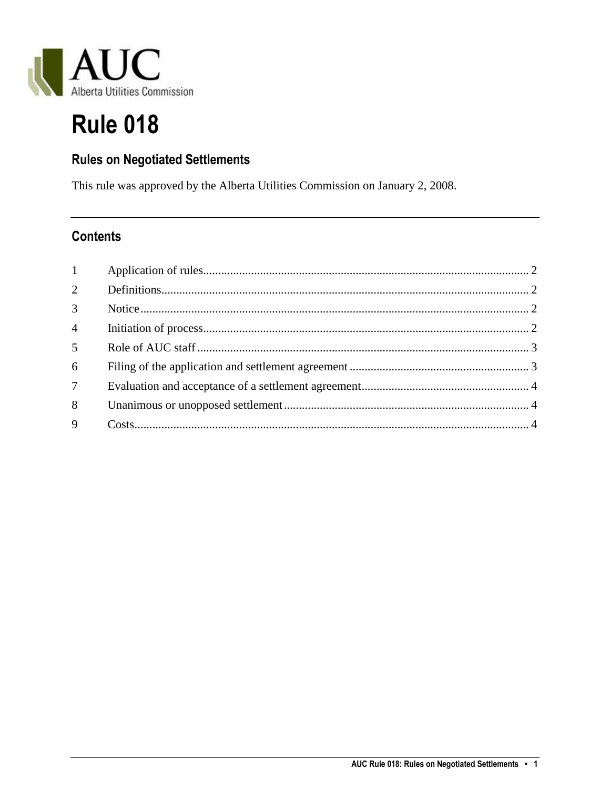

# **Rule 018**

# **Rules on Negotiated Settlements**

This rule was approved by the Alberta Utilities Commission on January 2, 2008.

## **Contents**

| 1              |  |
|----------------|--|
| $\overline{2}$ |  |
| 3 <sup>7</sup> |  |
| $\overline{4}$ |  |
| 5 <sup>5</sup> |  |
| 6              |  |
| 7 <sup>7</sup> |  |
| 8              |  |
| 9              |  |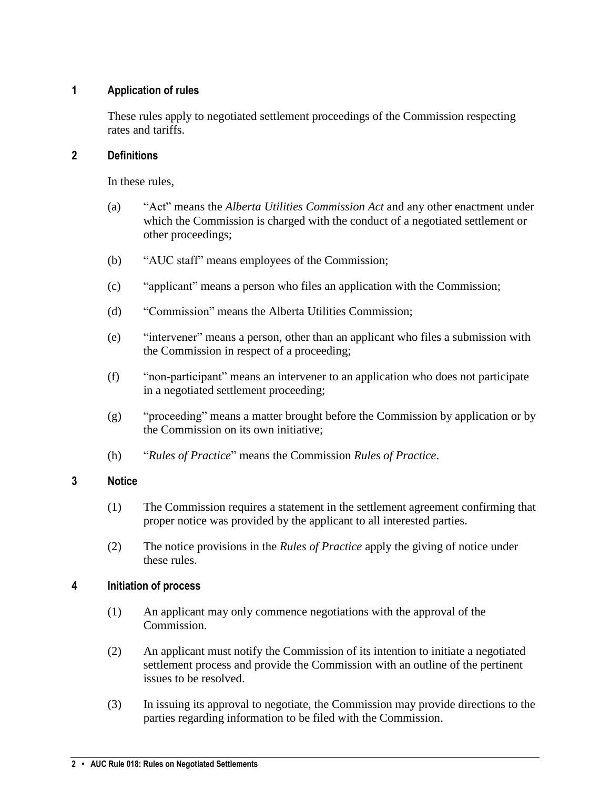## <span id="page-1-0"></span>**1 Application of rules**

These rules apply to negotiated settlement proceedings of the Commission respecting rates and tariffs.

### <span id="page-1-1"></span>**2 Definitions**

In these rules,

- (a) "Act" means the *Alberta Utilities Commission Act* and any other enactment under which the Commission is charged with the conduct of a negotiated settlement or other proceedings;
- (b) "AUC staff" means employees of the Commission;
- (c) "applicant" means a person who files an application with the Commission;
- (d) "Commission" means the Alberta Utilities Commission;
- (e) "intervener" means a person, other than an applicant who files a submission with the Commission in respect of a proceeding;
- (f) "non-participant" means an intervener to an application who does not participate in a negotiated settlement proceeding;
- (g) "proceeding" means a matter brought before the Commission by application or by the Commission on its own initiative;
- (h) "*Rules of Practice*" means the Commission *Rules of Practice*.

## <span id="page-1-2"></span>**3 Notice**

- (1) The Commission requires a statement in the settlement agreement confirming that proper notice was provided by the applicant to all interested parties.
- (2) The notice provisions in the *Rules of Practice* apply the giving of notice under these rules.

## <span id="page-1-3"></span>**4 Initiation of process**

- (1) An applicant may only commence negotiations with the approval of the Commission.
- (2) An applicant must notify the Commission of its intention to initiate a negotiated settlement process and provide the Commission with an outline of the pertinent issues to be resolved.
- (3) In issuing its approval to negotiate, the Commission may provide directions to the parties regarding information to be filed with the Commission.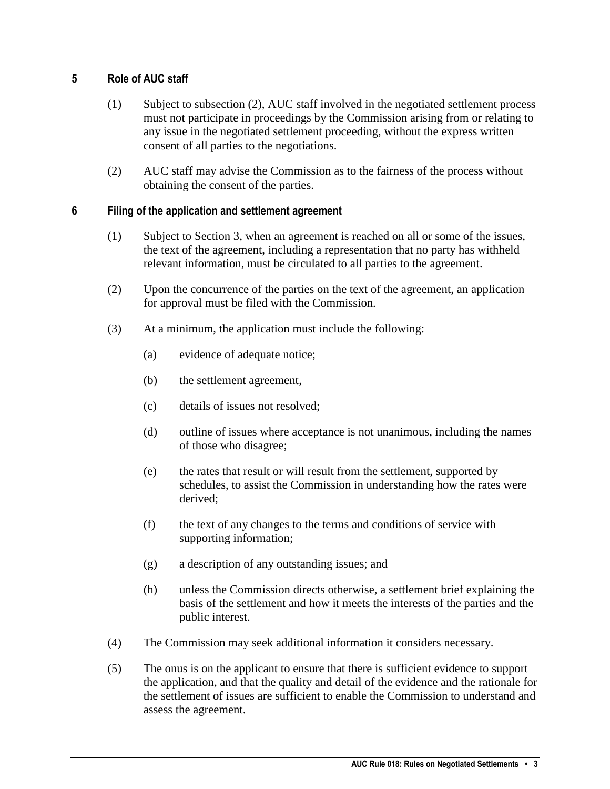### <span id="page-2-0"></span>**5 Role of AUC staff**

- (1) Subject to subsection (2), AUC staff involved in the negotiated settlement process must not participate in proceedings by the Commission arising from or relating to any issue in the negotiated settlement proceeding, without the express written consent of all parties to the negotiations.
- (2) AUC staff may advise the Commission as to the fairness of the process without obtaining the consent of the parties.

## <span id="page-2-1"></span>**6 Filing of the application and settlement agreement**

- (1) Subject to Section 3, when an agreement is reached on all or some of the issues, the text of the agreement, including a representation that no party has withheld relevant information, must be circulated to all parties to the agreement.
- (2) Upon the concurrence of the parties on the text of the agreement, an application for approval must be filed with the Commission.
- (3) At a minimum, the application must include the following:
	- (a) evidence of adequate notice;
	- (b) the settlement agreement,
	- (c) details of issues not resolved;
	- (d) outline of issues where acceptance is not unanimous, including the names of those who disagree;
	- (e) the rates that result or will result from the settlement, supported by schedules, to assist the Commission in understanding how the rates were derived;
	- (f) the text of any changes to the terms and conditions of service with supporting information;
	- (g) a description of any outstanding issues; and
	- (h) unless the Commission directs otherwise, a settlement brief explaining the basis of the settlement and how it meets the interests of the parties and the public interest.
- (4) The Commission may seek additional information it considers necessary.
- (5) The onus is on the applicant to ensure that there is sufficient evidence to support the application, and that the quality and detail of the evidence and the rationale for the settlement of issues are sufficient to enable the Commission to understand and assess the agreement.